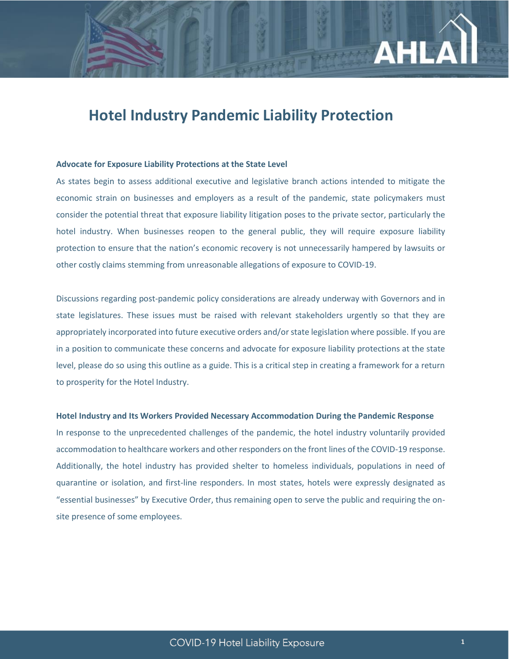

## **Hotel Industry Pandemic Liability Protection**

#### **Advocate for Exposure Liability Protections at the State Level**

As states begin to assess additional executive and legislative branch actions intended to mitigate the economic strain on businesses and employers as a result of the pandemic, state policymakers must consider the potential threat that exposure liability litigation poses to the private sector, particularly the hotel industry. When businesses reopen to the general public, they will require exposure liability protection to ensure that the nation's economic recovery is not unnecessarily hampered by lawsuits or other costly claims stemming from unreasonable allegations of exposure to COVID-19.

Discussions regarding post-pandemic policy considerations are already underway with Governors and in state legislatures. These issues must be raised with relevant stakeholders urgently so that they are appropriately incorporated into future executive orders and/or state legislation where possible. If you are in a position to communicate these concerns and advocate for exposure liability protections at the state level, please do so using this outline as a guide. This is a critical step in creating a framework for a return to prosperity for the Hotel Industry.

### **Hotel Industry and Its Workers Provided Necessary Accommodation During the Pandemic Response**

In response to the unprecedented challenges of the pandemic, the hotel industry voluntarily provided accommodation to healthcare workers and other responders on the front lines of the COVID-19 response. Additionally, the hotel industry has provided shelter to homeless individuals, populations in need of quarantine or isolation, and first-line responders. In most states, hotels were expressly designated as "essential businesses" by Executive Order, thus remaining open to serve the public and requiring the onsite presence of some employees.